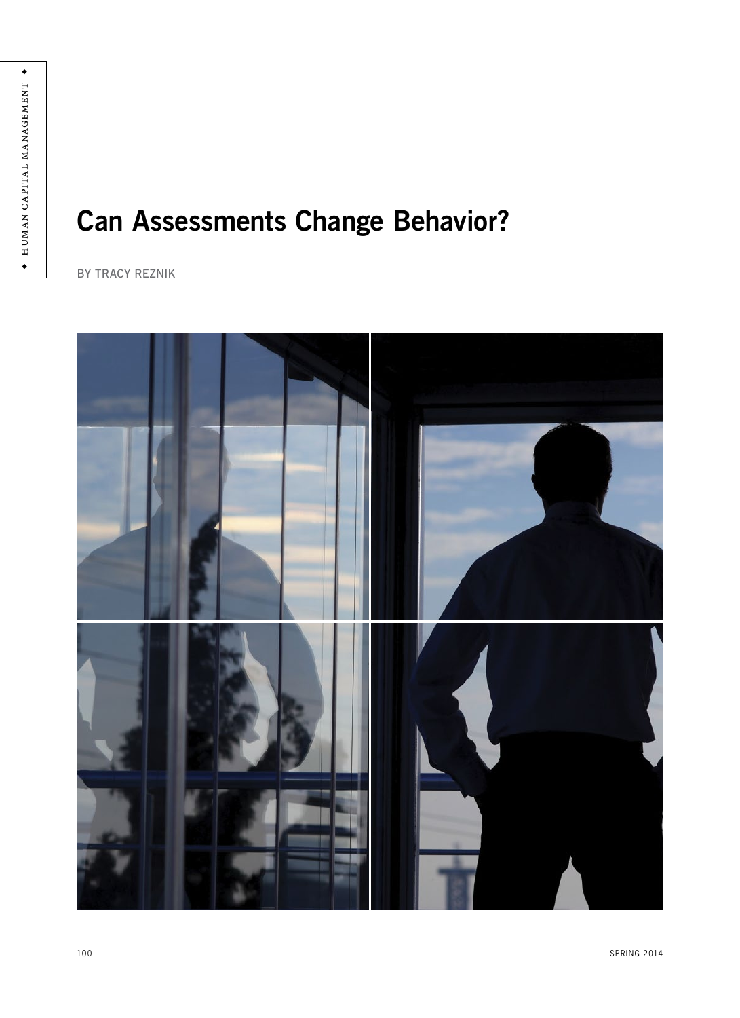# **Can Assessments Change Behavior?**

BY TRACY REZNIK

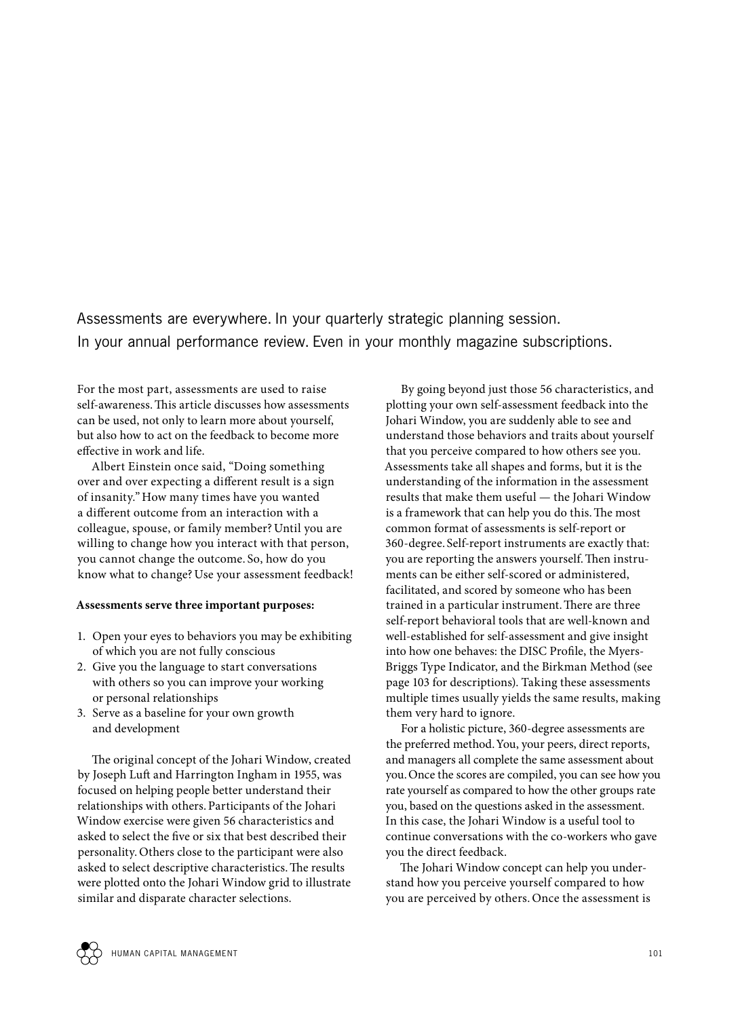Assessments are everywhere. In your quarterly strategic planning session. In your annual performance review. Even in your monthly magazine subscriptions.

For the most part, assessments are used to raise self-awareness.This article discusses how assessments can be used, not only to learn more about yourself, but also how to act on the feedback to become more effective in work and life.

Albert Einstein once said, "Doing something over and over expecting a different result is a sign of insanity."How many times have you wanted a different outcome from an interaction with a colleague, spouse, or family member? Until you are willing to change how you interact with that person, you cannot change the outcome. So, how do you know what to change? Use your assessment feedback!

#### **Assessments serve three important purposes:**

- 1. Open your eyes to behaviors you may be exhibiting of which you are not fully conscious
- 2. Give you the language to start conversations with others so you can improve your working or personal relationships
- 3. Serve as a baseline for your own growth and development

The original concept of the Johari Window, created by Joseph Luft and Harrington Ingham in 1955, was focused on helping people better understand their relationships with others.Participants of the Johari Window exercise were given 56 characteristics and asked to select the five or six that best described their personality. Others close to the participant were also asked to select descriptive characteristics.The results were plotted onto the Johari Window grid to illustrate similar and disparate character selections.

By going beyond just those 56 characteristics, and plotting your own self-assessment feedback into the Johari Window, you are suddenly able to see and understand those behaviors and traits about yourself that you perceive compared to how others see you. Assessments take all shapes and forms, but it is the understanding of the information in the assessment results that make them useful — the Johari Window is a framework that can help you do this.The most common format of assessments is self-report or 360-degree. Self-report instruments are exactly that: you are reporting the answers yourself.Then instruments can be either self-scored or administered, facilitated, and scored by someone who has been trained in a particular instrument.There are three self-report behavioral tools that are well-known and well-established for self-assessment and give insight into how one behaves: the DISC Profile, the Myers-Briggs Type Indicator, and the Birkman Method (see page 103 for descriptions). Taking these assessments multiple times usually yields the same results, making them very hard to ignore.

For a holistic picture, 360-degree assessments are the preferred method.You, your peers, direct reports, and managers all complete the same assessment about you.Once the scores are compiled, you can see how you rate yourself as compared to how the other groups rate you, based on the questions asked in the assessment. In this case, the Johari Window is a useful tool to continue conversations with the co-workers who gave you the direct feedback.

The Johari Window concept can help you understand how you perceive yourself compared to how you are perceived by others.Once the assessment is

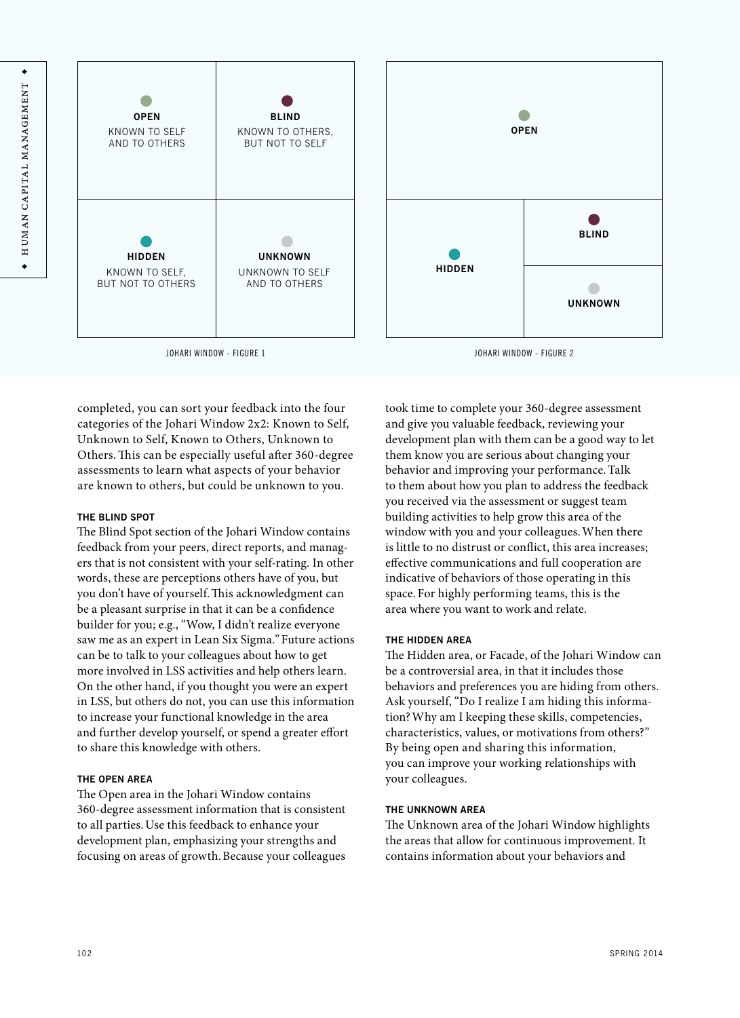



completed, you can sort your feedback into the four categories of the Johari Window 2x2: Known to Self, Unknown to Self, Known to Others, Unknown to Others.This can be especially useful after 360-degree assessments to learn what aspects of your behavior are known to others, but could be unknown to you.

#### **THE BLIND SPOT**

The Blind Spot section of the Johari Window contains feedback from your peers, direct reports, and managers that is not consistent with your self-rating. In other words, these are perceptions others have of you, but you don't have of yourself.This acknowledgment can be a pleasant surprise in that it can be a confidence builder for you; e.g., "Wow, I didn't realize everyone saw me as an expert in Lean Six Sigma."Future actions can be to talk to your colleagues about how to get more involved in LSS activities and help others learn. On the other hand, if you thought you were an expert in LSS, but others do not, you can use this information to increase your functional knowledge in the area and further develop yourself, or spend a greater effort to share this knowledge with others.

## **THE OPEN AREA**

The Open area in the Johari Window contains 360-degree assessment information that is consistent to all parties.Use this feedback to enhance your development plan, emphasizing your strengths and focusing on areas of growth.Because your colleagues took time to complete your 360-degree assessment and give you valuable feedback, reviewing your development plan with them can be a good way to let them know you are serious about changing your behavior and improving your performance.Talk to them about how you plan to address the feedback you received via the assessment or suggest team building activities to help grow this area of the window with you and your colleagues.When there is little to no distrust or conflict, this area increases; effective communications and full cooperation are indicative of behaviors of those operating in this space. For highly performing teams, this is the area where you want to work and relate.

## **THE HIDDEN AREA**

The Hidden area, or Facade, of the Johari Window can be a controversial area, in that it includes those behaviors and preferences you are hiding from others. Ask yourself, "Do I realize I am hiding this information?Why am I keeping these skills, competencies, characteristics, values, or motivations from others?" By being open and sharing this information, you can improve your working relationships with your colleagues.

## **THE UNKNOWN AREA**

The Unknown area of the Johari Window highlights the areas that allow for continuous improvement. It contains information about your behaviors and